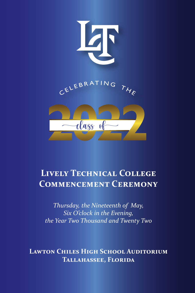

# **Lively Technical College Commencement Ceremony**

*Thursday, the Nineteenth of May, Six O'clock in the Evening, the Year Two Thousand and Twenty Two*

**Lawton Chiles High School Auditorium Tallahassee, Florida**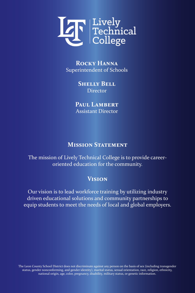

**Rocky Hanna** Superintendent of Schools

> **Shelly Bell Director**

PAUL LAMBERT Assistant Director

### **MISSION STATEMENT**

The mission of Lively Technical College is to provide careeroriented education for the community.

## **Vision**

Our vision is to lead workforce training by utilizing industry driven educational solutions and community partnerships to equip students to meet the needs of local and global employers.

The Leon County School District does not discriminate against any person on the basis of sex (including transgender status, gender nonconforming, and gender identity), marital status, sexual orientation, race, religion, ethnicity, national origin, age, color, pregnancy, disability, military status, or genetic information.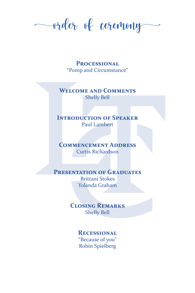order of ceremony

**Processional** "Pomp and Circumstance"

**Welcome and Comments** Shelly Bell

### **INTRODUCTION OF SPEAKER** Paul Lambert

**Commencement Address** Curtis Richardson

#### **PRESENTATION OF GRADUATES**

Brittani Stokes Yolanda Graham

**Closing Remarks** Shelly Bell

#### **Recessional** "Because of you" Robin Spielberg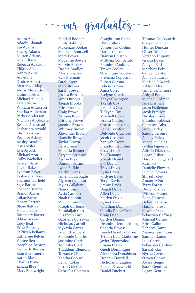our graduates

Anton Abad Adaobi Abanah Kai Adams Shelby Adams Lauren Adams Jack Adkins Rebecca Adkison Tiffany Aikens Nancy Akins Ari Akins Desiree Albert Matthew Alday Alexis Alexandrou Quinton Allen Michael Allen Jr Farah Altine William Anderson Sherika Anderson Parker Anderson Nicholas Applegate Reshae Armstead Lashaunta Arnold Thomas Arrant Promise Ashley Ansley Austin Jesus Aviles Kyle Aycock Michael Azar Colby Bachelier Kristen Baird Taylor Baker Lyndom Baker Tasharana Baker Shannon Barfield Sage Barineau Spencer Barnes Brandi Barnes Julian Barnes Jensen Barrett Blane Battles Helena Batts Rosemary Baxter Ikhlas Bazzar Cody Beal Erika Bellamy Ta'Niyah Bellamy Catherine Belvin Youtee Ben Josephine Benton Kimberly Berrios Zion Bissonnette Aaron Black Charles Blake Zahara Blue Mary Boatwright

Kendall Bodner Emily Bohling McKenzie Booker Madison Boutwell Macy Bower Madeline Bowers Marvin Boxley Dashia Bradley Alexia Braxton Kyle Brennan Sarah Bretz Mary Brewer Sarah Brewer Jessica Brinson James Brooks **Taejah Brooks** Erica Broome Craig Brown Zariona Brown Brittany Brown Jasmine Brown Whitney Brown Alexander Brown Danielle Brown Taylor Brown Paris Bruce Makayla Bruner Arryana Brunson Ajalon Bryant Damion Bryant Iyona Bufkin Kaitlin Burns Jamelia Burroughs Alysson Calhoun Myles Callahan Nancy Camp Aysia Cannon Noah Cannon Melvin Cannon Joseph Carbone Brandaijah Carr Elizabeth Carr Gabrielle Carraway Nicholas Carroll Mykayla Carter Jared Chambers Manoude Charles Jasamine Clark Tomesha Clark Thaddeus Clemons Torrance Cline Kendra Coburn Bellah Coker Justin Coleman Gabriella Coleman

Aoughtumn Coles Will Collins Vonterious Collins Darius Colson Daivion Colston Millynia Comparato Brandon Cooksey Trevor Cooley Shauniqua Copeland Brejuana Copeland Ruben Corona Felicia Corona Anna Corry Evelynn Corvin Kenya Covington Tkeyah Cox Jeremiah Cox T'Keyah Cox Mitchell Cozzy Jessica Crafton Christopher Crago Raina Crawford Delvonte Crawford Jacob Creamer Zaniyah Crews Brandon Crumbie Chaciti Cull Zoe Damann Joseph Daniel Evy David Travis Davis Aysia Davis Jordyne Davis Teryn Davis Jimmy Davis Daijah Davis Allen Davis Kaitlyn Davis Aysia Davis Jonathan Day Camila De La Cruz Craig Dean Caitlyn Dennis Deandre Dennis-Young Cederia Devose Isaiah Dias-Claiborne Tristan Dias-Claiborne Javier Digonzalez Briana Dixon Guedj Dominique Alexandra Donaldson Deshaw Dowdell Nicholas Draughon Bladen Drzewiecki Daniel Duckett

Thomas Duckworth Cheyenne Duer Hunter Duncan Oliver Dunlap Vershon Dupont Jessica Dykes Aaliyah Earl Matthew Eckel Cailey Edelstein Ashley Edwards Kanisha Edwards Viktor Elder Jamichael Elmore Abigail Eno Michael Erdman Jane Erisman Jason Eshleman Jacob Ettelson Nicolas Evans Brandon Fabozzi Cameron Fahs Jared Fairley Sandra Ferreira Ashley Fields Michelle Fields Jayden Figueroa Allison Filakosky Logan Fisher Hannah Fitzgerald Ryan Fix Danielle Flowers Lucille Flowers Shirrel Foley Amantez Ford Tyray Forest Dorie Forshee Willesia Francis Edna Francois Delon Franklin Hannah Frost Keyona Frost Sebastian Gaffney Ahmeal Gainer Erica Gallon Rebecca Game Zsamya Gammons Samuel Ganus Luis Garcia Sebastian Gardner Saraiah Gay Nyrisa Gaymon Steven Gehres Alyssa Geiger Sarah Gendusa Logan Gentile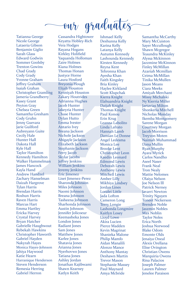# our graduates

Tatianna George Nicole George Lataeria Gibson Benjamin Giglio Sarah Glass Edward Godwin Sommer Goolsby Trenton Gowins Chad Grady Cody Grady Yvonne Graham Jeffrey Graham Isaiah Grahan Christopher Gramling Jameria Grandberry Kasey Grant Peyton Gray Chelsea Green Samantha Gresham Cody Gruhn Jenny Guevara Jarie Guilford Aubreyann Guite Cecily Hale Hunter Hall Dakota Hall Kyle Hall Taylor Hamilton Kennedy Hamilton Walker Hammelman James Hancock Kayla Hand Andrew Handzel Zachary Hanselman Daizah Hargrove Tylan Harris Brendan Harris Roshun Harris Raven Harris Marcus Hart Emma Hartley Ericka Harvey Crystal Harvey Bryan Hatcher Gabrielle Haughwout Rebekah Hawkins Christopher Haworth Gabriel Hayden Nakyrah Hayes Monica Hayes-Johnson Jahiya Haywood Katie Hearn Harranique Henderson Steven Henderson Remesia Herring Gabriel Herron

Cassandra Hightower Keyatta Hobley-Rich Vera Hodges Rayana Hogans Kirkley Holifield Yaquanda Holloman Zaire Holmes Kiana Holmes Thomas Honan Justyce Horne Laura Hosford Breyonia Hough Elijah Houston Kenniyah Houston Zakary Houtrides Adrianna Hughes Jacob Hunter Jakeyria Hunter Chase Hunter Dylan Hutto Emma Ivester Antario Ivey Breana Jackson Nichole Jackson Abigayle Jackson Elizabeth Jackson Stephanie Jackson Ferry Jacob Skylar Jacobs Jeffrey Jenkins William Jenkins Jeremy Jenkins Eric Jimenez Liset Jimenez-Perez Sharonda Johnson Miles Johnson Naomi Johnson Breana Johnson Tasheena Johnson Sharhonda Johnson Austin Johnson Jennifer Jolicoeur Keemasheka Jones London Jones Radiant Jones Sam Jones Matthew Jones Karlee Jones Shatavia Jones Arianna Jones Nyerhovwo Jones Tatiana Jones Ashley Jordan Jonathan Kajibwami Shawn Kearney Katlyn Keith

Ishmael Kelly Deshunna Kelly Karina Kelly Latanya Kelly Autumn Kennedy Lashounda Kennedy Kirsten Kennedy Reyna Kent Tehronna Khan Ayesha Khan Faith Kingsley Bria Kinley Haylee Kirkland Scott Klupchak Kierra Knight Elahuandria Knight Daijah Knight Thomas Knight Paul Konou Erin Krug Leanna Labolito Linda Lafrato Hannah Lamb Damian Le Donne Angel Ledesma Monica Lee Brooke Lent Christopher Leon Kaedin Leonard Edmond Lewis Deborah Lewis Anthony Lewis Mitchell Lewis Amber Lilly Mikhiya Lindsey Jordan Lines Loralei Little Jada Lofton Cameron Long Terry Longie Lashonda Longmire Kaitlyn Losey Lloyd Lowe Akira Lucien Pierce Madden Kevin Magrinat Shanieka Malone Philip Mamfo Aidan Manalili Alonzo Mance Anthony Mantay Deshawn Martin Trevor Mason Stephanie Massey Paul Maynard Amya Mcbride

Samantha McCarthy Mary McCuiston Sayer Mccullough Shawn Mcgregor Teaundra McKinley Alyssa Mckinnon Jazzmine McKinnon Finley McMillan Azariah Mcmillan Ceima McMillan Tinika McMullen Jason Means Ciara Meeks Amiyah Merchant Missy Michalski Ny'Kierria Miller Jartavias Milton Shonkeria Mitchell Nicholas Monday Ikemba Montgomery Sarene Morgan Courtney Morgan Jacob Morrison Treyvon Moten Naimah Muhammad Dana Mullin Ryan Murphy Ayara Myrick Carlos Nandho Aseel Naser Frank Neal Tron Nealy Mattie Nelomes Olaiya Nelson Joe Nelson lll Patrick Nerney Javarri Newton Trinity Nguyen Toneet Nickerson Brenden Noble Jaszmin Nobles Max Noblin Taylor Noles Erica North Joshua Norwood Blake Odom Emonte Olds Jenaiya Oneal Alexis Orellana Elise Ovington Christian Owens Marquiria Owens Rina Palacios Joseph Palmer Lauren Palmer Jenelee Paraison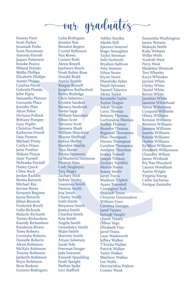# our graduates

Kianna Paris Scott Parker Jeramiah Parks Scott Parramore Antonia Parrish Jaquez Patterson Brooke Pearce Miland Petitdo Melba Phillips Elizabeth Phillips Austin Phipps Cynthia Pierre Gabriela Pineda John Pipoy Samantha Planner Leonardo Plata Jennifer Platt Alton Polen De'Auna Pollock Brittany Pompey Gary Poplin Christine Powell Katherine Powell Deja Preston Michael Printy Caitlyn Prisco Janie Prothro Shikera Pryear Amir Purnell Nebraska Purnell Hailey Quick Chloe Rach Jordan Rackley Renita Ransom Michael Ray Jerome Reese Kenyetta Register Jenna Rennols Jillian Rennols Frederick Revell India Richards Malachi Richards Trenee Richardson Kassidy Richardson Kataleena Rivera Torey Roberts Cornesha Roberts Danielle Roberts Alexis Robinson Ma'Kyla Robinson Tommy Robinson Jankeith Robinson Bryce Robinson Rene Rodarte Gustavo Rodriguez

Lydia Rodriguez Jasmine Roe Brenden Rogers Crystal Rollinson Nya Roney Connor Roth Alexis Rowell Jayshawn Rowls Noah Rubin-Rose Donald Rudd Austin Ruehle Reagan Russell Jacquiem Rutherford Bailey Rutledge Chris Sabatino Krysten Sanders Bianaca Sandoval Yvette Sapp William Saunders Ethan Scott Terrance Scott Sameera Shaik William Shawfield Shayne Sheffield Joshua Shelley Brandon Shields Teya Shuler Briana Simmons La'Shameria Simmons Preston Sims Cody Singletary Trey Slager Zachary Slick Sydney Smiley Leaunnea Smith Patricia Smith Joia Smith Chasity Smith Faith Smith Breyonne Smith Jessica Smith Cleashia Smith Kyla Smith Angela Smith Gwendolyn Smith Major Smith Shavette Smith Ariyan Solomon Sarah Solz Freeman Songer Jada Souvenir Kinnedi Spaulding Noah Speight Nathan Spike Levi Stafford

Ashley Stanley Aljohn Still Spencer Stoetzel Roger Straughter Taylor Stroman Seth Suchocki Bryshon Sullivan Amy Sumner Ethan Swain Kiyun Sweet Shandrika Sykes Najah Sylvester Samuel Talavera Alexis Taylor Kennedie Taylor Torian Teague Adam Teuton Larry Thomas Brittany Thomas Luchandria Thomas Steffan Thomas Keandre Thomas Reginald Thompson Elise Thompson Hunter Thompson Caroline Thompson Anthony Thornton Joshua Tidwell Joseph Tillman Zackary Tomblin Melvin Torres Stacey Smith Jarret Travis Madison Triplett Ayana Truesdell Carrington Turk Shanayh Tyson Chinyere Umunnakwe William Uren Carolina Vanegas Jared Varana Kyleigh Vaught Quinn Veasey Dillon Vega Elizabeth Vice Jared Vrana Lane Wadsworth Jeffrey Walker T'Ericka Walker Patrick Walker Tamir Walker Matthew Walker Lee Walls Detrineishia Walton Conner Ward

Samantha Washington Janice Watson Makayla Webb Kalia Webster Willie Wells Ycedrah West Perry West Madeline Westcott Tori Wheeler Karys Whitaker Jazmin White Chelsy White Daniel White Kevon White Jazminn White Jasmine Whitehead Alexis Wiliamson Cynquisa Williams Hilary Williams Kemoni Williams Breonna Williams Jasmine Williams Juanita Williams Raleen Williams Dyshia Williams Ke'Moni Williams Elizabeth Williamson Chandler Wilson James Winbush Bry'Nae Woodard Lauren Woodham Austin Wright Virginia Young Cailin Zacharias Enrique Zamudio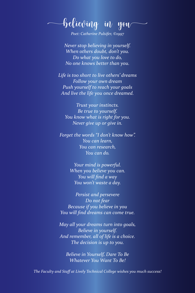believing in you

*Poet: Catherine Pulsifer, ©1997*

*Never stop believing in yourself. When others doubt, don't you. Do what you love to do, No one knows better than you.*

*Life is too short to live others' dreams Follow your own dream Push yourself to reach your goals And live the life you once dreamed.*

*Trust your instincts. Be true to yourself. You know what is right for you. Never give up or give in.*

*Forget the words "I don't know how". You can learn, You can research, You can do.*

> *Your mind is powerful. When you believe you can. You will find a way You won't waste a day.*

*Persist and persevere Do not fear Because if you believe in you You will find dreams can come true.*

*May all your dreams turn into goals, Believe in yourself. And remember, all of life is a choice. The decision is up to you.*

*Believe in Yourself, Dare To Be Whatever You Want To Be!*

*The Faculty and Staff at Lively Technical College wishes you much success!*